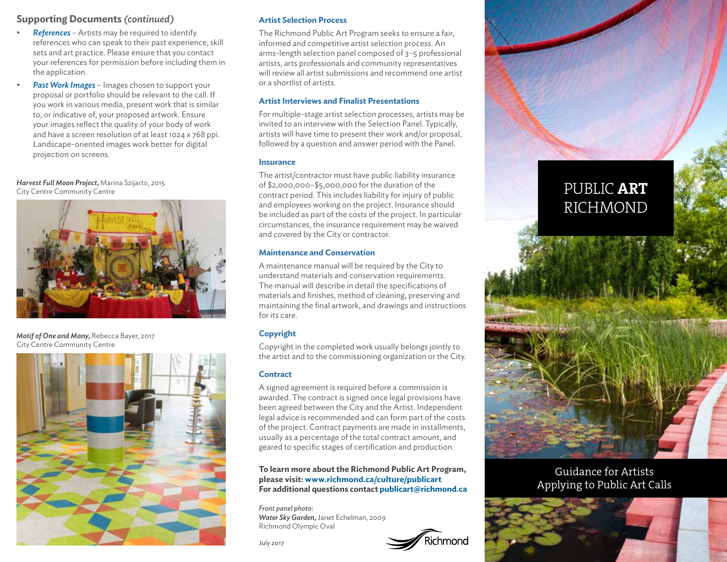# **Supporting Documents** *(continued)*

- *References*  Artists may be required to identify references who can speak to their past experience, skill sets and art practice. Please ensure that you contact your references for permission before including them in the application.
- *Past Work Images*  Images chosen to support your proposal or portfolio should be relevant to the call. If you work in various media, present work that is similar to, or indicative of, your proposed artwork. Ensure your images reflect the quality of your body of work and have a screen resolution of at least 1024 x 768 ppi. Landscape-oriented images work better for digital projection on screens.

*Harvest Full Moon Project,* Marina Szijarto, 2015



*Motif of One and Many,* Rebecca Bayer, 2017 City Centre Community Centre



## **Artist Selection Process**

The Richmond Public Art Program seeks to ensure a fair, informed and competitive artist selection process. An arms-length selection panel composed of 3–5 professional artists, arts professionals and community representatives will review all artist submissions and recommend one artist or a shortlist of artists.

## **Artist Interviews and Finalist Presentations**

For multiple-stage artist selection processes, artists may be invited to an interview with the Selection Panel. Typically, artists will have time to present their work and/or proposal, followed by a question and answer period with the Panel.

### **Insurance**

marvest Full Moon Project, Marina Szijarto, 2015<br>City Centre Community Centre PUBLIC ART contract period. This includes liability for injury of public PUBLIC ART The artist/contractor must have public liability insurance of \$2,000,000–\$5,000,000 for the duration of the and employees working on the project. Insurance should be included as part of the costs of the project. In particular circumstances, the insurance requirement may be waived and covered by the City or contractor.

## **Maintenance and Conservation**

A maintenance manual will be required by the City to understand materials and conservation requirements. The manual will describe in detail the specifications of materials and finishes, method of cleaning, preserving and maintaining the final artwork, and drawings and instructions for its care.

## **Copyright**

Copyright in the completed work usually belongs jointly to the artist and to the commissioning organization or the City.

## **Contract**

A signed agreement is required before a commission is awarded. The contract is signed once legal provisions have been agreed between the City and the Artist. Independent legal advice is recommended and can form part of the costs of the project. Contract payments are made in installments, usually as a percentage of the total contract amount, and geared to specific stages of certification and production.

**To learn more about the Richmond Public Art Program, please visit: www.richmond.ca/culture/publicart For additional questions contact publicart@richmond.ca**

*Front panel photo: Water Sky Garden,* Janet Echelman, 2009 Richmond Olympic Oval

July 2017



# RICHMOND



Guidance for Artists Applying to Public Art Calls

![](_page_0_Picture_26.jpeg)